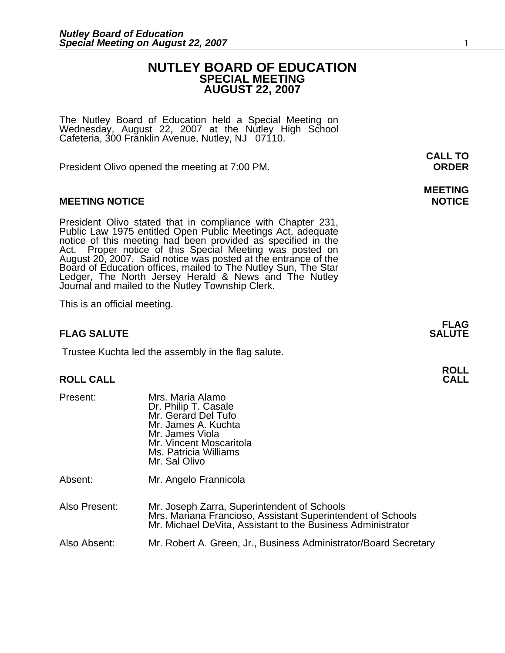### **NUTLEY BOARD OF EDUCATION SPECIAL MEETING AUGUST 22, 2007**

The Nutley Board of Education held a Special Meeting on Wednesday, August 22, 2007 at the Nutley High School Cafeteria, 300 Franklin Avenue, Nutley, NJ 07110.

President Olivo opened the meeting at 7:00 PM. **ORDER**

### **MEETING NOTICE NOTICE AND INSTRUCCE**

President Olivo stated that in compliance with Chapter 231,<br>Public Law 1975 entitled Open Public Meetings Act, adequate<br>notice of this meeting had been provided as specified in the<br>Act. Proper notice of this Special Meetin Board of Education offices, mailed to The Nutley Sun, The Star Ledger, The North Jersey Herald & News and The Nutley Journal and mailed to the Nutley Township Clerk.

This is an official meeting.

### **FLAG SALUTE** SALUTE SALUTE SALUTE SALUTE SALUTE SALUTE SALUTE SALUTE SALUTE SALUTE SALUTE SALUTE SALUTE SALUTE SALUTE

Trustee Kuchta led the assembly in the flag salute.

Dr. Philip T. Casale

Present: Mrs. Maria Alamo

## **ROLL ROLL CALL CALL**

Mr. Gerard Del Tufo Mr. James A. Kuchta Mr. James Viola Mr. Vincent Moscaritola Ms. Patricia Williams **Mr. Sal Olivo** Absent: Mr. Angelo Frannicola Also Present: Mr. Joseph Zarra, Superintendent of Schools Mrs. Mariana Francioso, Assistant Superintendent of Schools Mr. Michael DeVita, Assistant to the Business Administrator Also Absent: Mr. Robert A. Green, Jr., Business Administrator/Board Secretary

**CALL TO** 

# **MEETING**

**FLAG**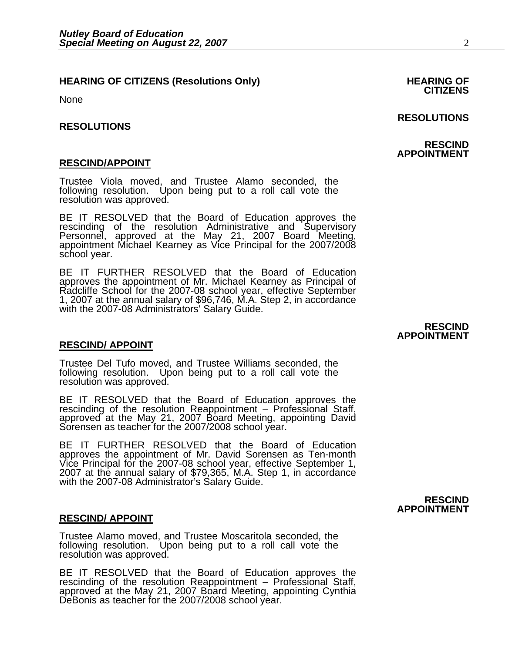## **HEARING OF CITIZENS (Resolutions Only) HEARING OF CITIZENS**

None

#### **RESOLUTIONS**

<u>RESCIND/APPOINT</u><br>Trustee Viola moved, and Trustee Alamo seconded, the following resolution. Upon being put to a roll call vote the resolution was approved.

BE IT RESOLVED that the Board of Education approves the rescinding of the resolution Administrative and Supervisory Personnel, approved at the May 21, 2007 Board Meeting, appointment Michael Kearney as Vice Principal for t school year.

BE IT FURTHER RESOLVED that the Board of Education approves the appointment of Mr. Michael Kearney as Principal of approves the appointment of Mr. Michael Kearney as Principal of Radcliffe School for the 2007-08 school year, effective September 1, 2007 at the annual salary of \$96,746, M.A. Step 2, in accordance with the 2007-08 Administrators' Salary Guide.

#### **RESCIND/ APPOINT**

Ξ Trustee Del Tufo moved, and Trustee Williams seconded, the following resolution. Upon being put to a roll call vote the resolution was approved.

BE IT RESOLVED that the Board of Education approves the rescinding of the resolution Reappointment – Professional Staff, approved at the May 21, 2007 Board Meeting, appointing David Sorensen as teacher for the 2007/2008 sc

BE IT FURTHER RESOLVED that the Board of Education approves the appointment of Mr. David Sorensen as Ten-month Vice Principal for the 2007-08 school year, effective September 1, 2007 at the annual salary of \$79,365, M.A. Step 1, in accordance with the 2007-08 Administrator's Salary Guide.

#### **RESCIND/ APPOINT**

٦ Trustee Alamo moved, and Trustee Moscaritola seconded, the following resolution. Upon being put to a roll call vote the resolution was approved.

BE IT RESOLVED that the Board of Education approves the rescinding of the resolution Reappointment – Professional Staff, approved at the May 21, 2007 Board Meeting, appointing Cynthia DeBonis as teacher for the 2007/2008 s

### **RESOLUTIONS**

#### **RESCIND APPOINTMENT**

#### **RESCIND APPOINTMENT**

**RESCIND APPOINTMENT**